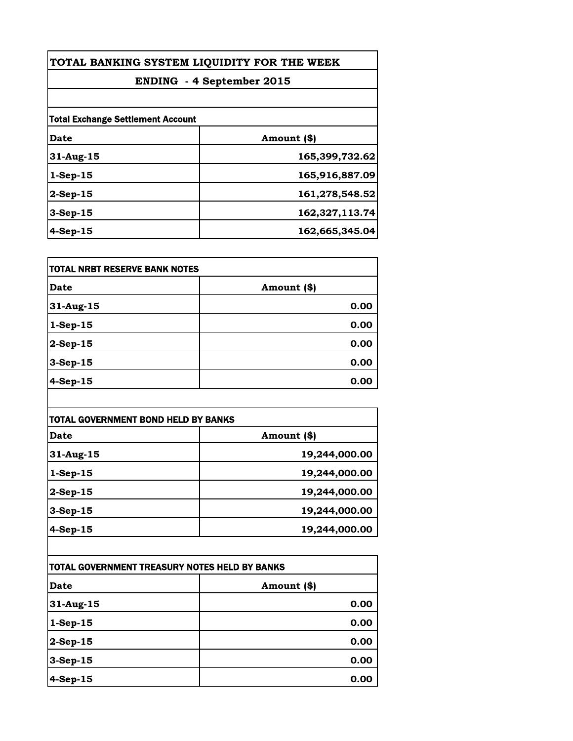| TOTAL BANKING SYSTEM LIQUIDITY FOR THE WEEK<br><b>ENDING - 4 September 2015</b> |                |
|---------------------------------------------------------------------------------|----------------|
|                                                                                 |                |
| <b>Total Exchange Settlement Account</b>                                        |                |
| Date                                                                            | Amount (\$)    |
| 31-Aug-15                                                                       | 165,399,732.62 |
| $1-$ Sep $-15$                                                                  | 165,916,887.09 |
| $2$ -Sep-15                                                                     | 161,278,548.52 |
| 3-Sep-15                                                                        | 162,327,113.74 |
| $4-Sep-15$                                                                      | 162,665,345.04 |

| <b>TOTAL NRBT RESERVE BANK NOTES</b> |             |
|--------------------------------------|-------------|
| <b>Date</b>                          | Amount (\$) |
| 31-Aug-15                            | 0.00        |
| $1-Sep-15$                           | 0.00        |
| $2-Sep-15$                           | 0.00        |
| $3-Sep-15$                           | 0.00        |
| $4-Sep-15$                           | 0.00        |

| <b>TOTAL GOVERNMENT BOND HELD BY BANKS</b> |               |
|--------------------------------------------|---------------|
| Date                                       | Amount (\$)   |
| 31-Aug-15                                  | 19,244,000.00 |
| $1-Sep-15$                                 | 19,244,000.00 |
| $2-Sep-15$                                 | 19,244,000.00 |
| $3-Sep-15$                                 | 19,244,000.00 |
| $4-Sep-15$                                 | 19,244,000.00 |

| TOTAL GOVERNMENT TREASURY NOTES HELD BY BANKS |             |
|-----------------------------------------------|-------------|
| <b>Date</b>                                   | Amount (\$) |
| 31-Aug-15                                     | 0.00        |
| $1-Sep-15$                                    | 0.00        |
| $2$ -Sep-15                                   | 0.00        |
| $3-Sep-15$                                    | 0.00        |
| $4-Sep-15$                                    | 0.00        |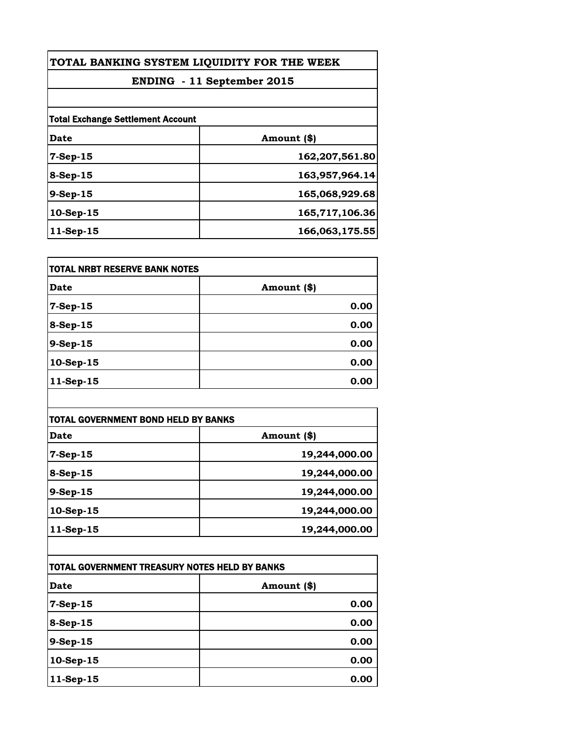| TOTAL BANKING SYSTEM LIQUIDITY FOR THE WEEK |                |
|---------------------------------------------|----------------|
| ENDING - 11 September 2015                  |                |
|                                             |                |
| <b>Total Exchange Settlement Account</b>    |                |
| <b>Date</b>                                 | Amount (\$)    |
| $7-Sep-15$                                  | 162,207,561.80 |
| 8-Sep-15                                    | 163,957,964.14 |
| 9-Sep-15                                    | 165,068,929.68 |
| 10-Sep-15                                   | 165,717,106.36 |
| $11-Sep-15$                                 | 166,063,175.55 |

| TOTAL NRBT RESERVE BANK NOTES |             |
|-------------------------------|-------------|
| Date                          | Amount (\$) |
| 7-Sep-15                      | 0.00        |
| 8-Sep-15                      | 0.00        |
| $9-Sep-15$                    | 0.00        |
| 10-Sep-15                     | 0.00        |
| 11-Sep-15                     | 0.00        |

| TOTAL GOVERNMENT BOND HELD BY BANKS |               |
|-------------------------------------|---------------|
| Date                                | Amount (\$)   |
| $7-Sep-15$                          | 19,244,000.00 |
| $8-Sep-15$                          | 19,244,000.00 |
| $9-Sep-15$                          | 19,244,000.00 |
| $10$ -Sep-15                        | 19,244,000.00 |
| $11-Sep-15$                         | 19,244,000.00 |

| TOTAL GOVERNMENT TREASURY NOTES HELD BY BANKS |             |
|-----------------------------------------------|-------------|
| Date                                          | Amount (\$) |
| 7-Sep-15                                      | 0.00        |
| 8-Sep-15                                      | 0.00        |
| 9-Sep-15                                      | 0.00        |
| $10-Sep-15$                                   | 0.00        |
| 11-Sep-15                                     | 0.00        |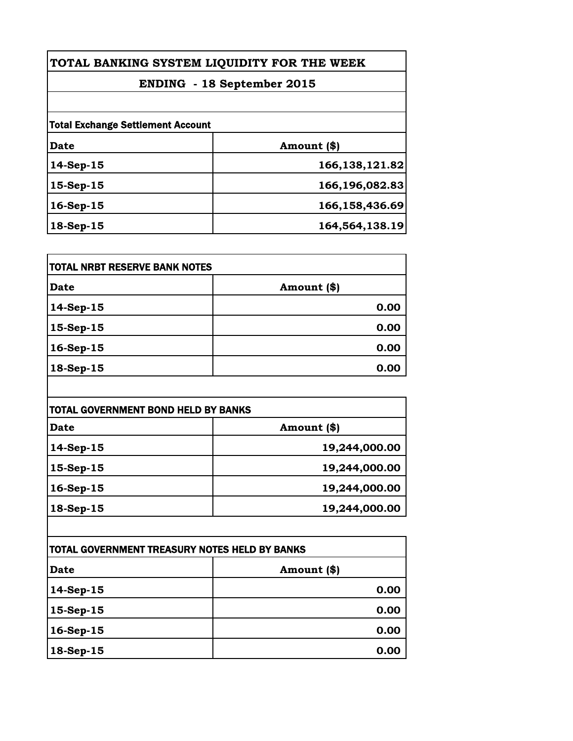| TOTAL BANKING SYSTEM LIQUIDITY FOR THE WEEK |                |
|---------------------------------------------|----------------|
| <b>ENDING</b> - 18 September 2015           |                |
|                                             |                |
| Date                                        | Amount (\$)    |
| $14-Sep-15$                                 | 166,138,121.82 |
| $15-Sep-15$                                 | 166,196,082.83 |
| $16-Sep-15$                                 | 166,158,436.69 |
| 18-Sep-15                                   | 164,564,138.19 |

| TOTAL NRBT RESERVE BANK NOTES |              |
|-------------------------------|--------------|
| <b>Date</b>                   | Amount $(*)$ |
| 14-Sep-15                     | 0.00         |
| 15-Sep-15                     | 0.00         |
| 16-Sep-15                     | 0.00         |
| 18-Sep-15                     | 0.00         |

| TOTAL GOVERNMENT BOND HELD BY BANKS |               |
|-------------------------------------|---------------|
| Date                                | Amount (\$)   |
| $14-Sep-15$                         | 19,244,000.00 |
| 15-Sep-15                           | 19,244,000.00 |
| $16-Sep-15$                         | 19,244,000.00 |
| 18-Sep-15                           | 19,244,000.00 |

| <b>TOTAL GOVERNMENT TREASURY NOTES HELD BY BANKS</b> |             |
|------------------------------------------------------|-------------|
| <b>Date</b>                                          | Amount (\$) |
| 14-Sep-15                                            | 0.00        |
| 15-Sep-15                                            | 0.00        |
| 16-Sep-15                                            | 0.00        |
| 18-Sep-15                                            | 0.00        |